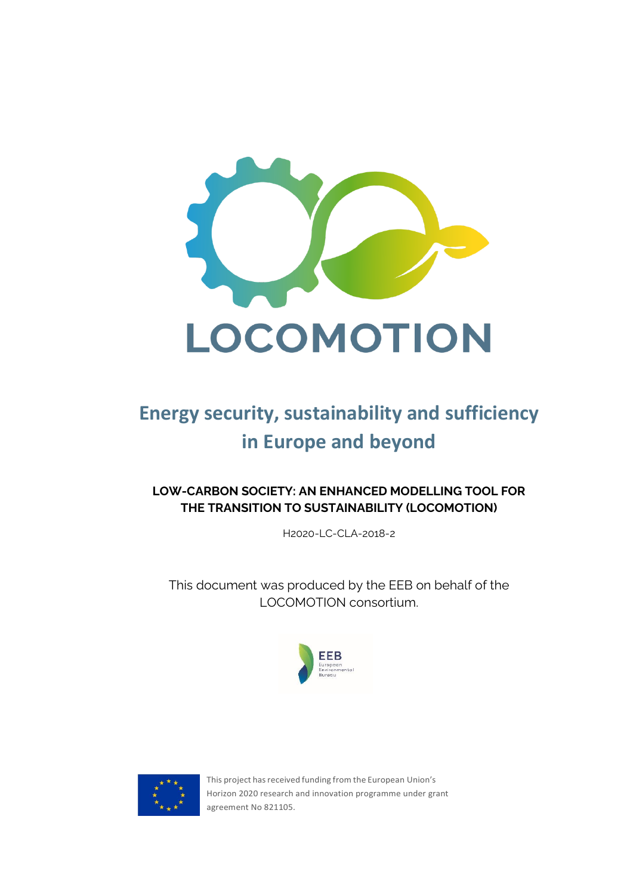

# **Energy security, sustainability and sufficiency in Europe and beyond**

**LOW-CARBON SOCIETY: AN ENHANCED MODELLING TOOL FOR THE TRANSITION TO SUSTAINABILITY (LOCOMOTION)**

H2020-LC-CLA-2018-2

This document was produced by the EEB on behalf of the LOCOMOTION consortium.





This project has received funding from the European Union's Horizon 2020 research and innovation programme under grant agreement No 821105.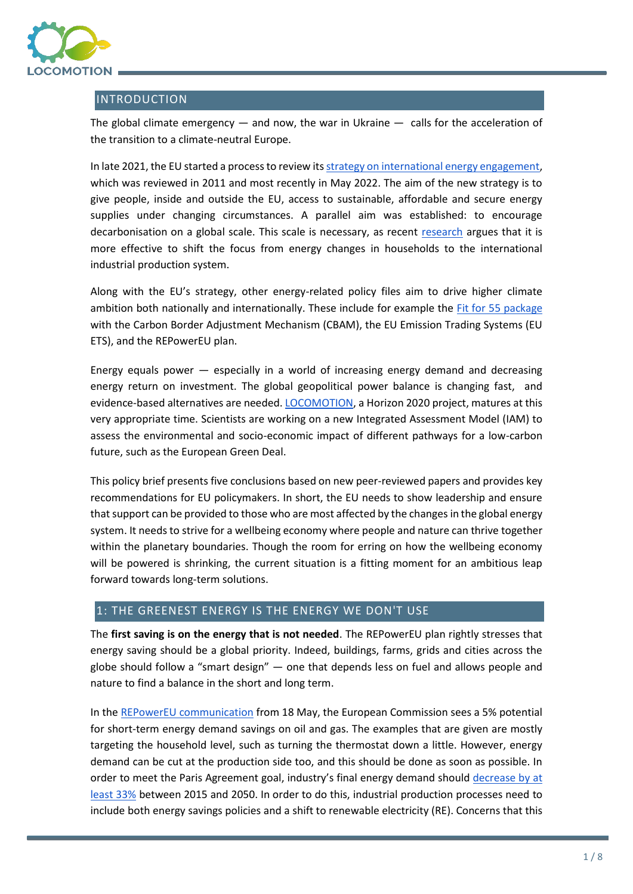

## INTRODUCTION

The global climate emergency  $-$  and now, the war in Ukraine  $-$  calls for the acceleration of the transition to a climate-neutral Europe.

In late 2021, the EU started a process to review it[s strategy on international energy engagement,](https://ec.europa.eu/info/law/better-regulation/have-your-say/initiatives/13276-Energy-diplomacy-European-strategy-on-international-energy-engagement) which was reviewed in 2011 and most recently in May 2022. The aim of the new strategy is to give people, inside and outside the EU, access to sustainable, affordable and secure energy supplies under changing circumstances. A parallel aim was established: to encourage decarbonisation on a global scale. This scale is necessary, as recent [research](https://www.sciencedirect.com/science/article/abs/pii/S0959652620338725?via%3Dihub) argues that it is more effective to shift the focus from energy changes in households to the international industrial production system.

Along with the EU's strategy, other energy-related policy files aim to drive higher climate ambition both nationally and internationally. These include for example the Fit for [55 package](https://ec.europa.eu/commission/presscorner/detail/en/IP_21_3541) with the Carbon Border Adjustment Mechanism (CBAM), the EU Emission Trading Systems (EU ETS), and the REPowerEU plan.

Energy equals power — especially in a world of increasing energy demand and decreasing energy return on investment. The global geopolitical power balance is changing fast, and evidence-based alternatives are needed. [LOCOMOTION,](https://www.locomotion-h2020.eu/) a Horizon 2020 project, matures at this very appropriate time. Scientists are working on a new Integrated Assessment Model (IAM) to assess the environmental and socio-economic impact of different pathways for a low-carbon future, such as the European Green Deal.

This policy brief presents five conclusions based on new peer-reviewed papers and provides key recommendations for EU policymakers. In short, the EU needs to show leadership and ensure that support can be provided to those who are most affected by the changes in the global energy system. It needs to strive for a wellbeing economy where people and nature can thrive together within the planetary boundaries. Though the room for erring on how the wellbeing economy will be powered is shrinking, the current situation is a fitting moment for an ambitious leap forward towards long-term solutions.

# 1: THE GREENEST ENERGY IS THE ENERGY WE DON'T USE

The **first saving is on the energy that is not needed**. The REPowerEU plan rightly stresses that energy saving should be a global priority. Indeed, buildings, farms, grids and cities across the globe should follow a "smart design" — one that depends less on fuel and allows people and nature to find a balance in the short and long term.

In th[e REPowerEU communication](https://ec.europa.eu/commission/presscorner/detail/en/ip_22_3131) from 18 May, the European Commission sees a 5% potential for short-term energy demand savings on oil and gas. The examples that are given are mostly targeting the household level, such as turning the thermostat down a little. However, energy demand can be cut at the production side too, and this should be done as soon as possible. In order to meet the Paris Agreement goal, industry's final energy demand should [decrease by at](https://eeb.org/wp-content/uploads/2022/02/Policy-Brief-REDIII-and-PAC-Scenario_FINAL-1.pdf)  [least 33%](https://eeb.org/wp-content/uploads/2022/02/Policy-Brief-REDIII-and-PAC-Scenario_FINAL-1.pdf) between 2015 and 2050. In order to do this, industrial production processes need to include both energy savings policies and a shift to renewable electricity (RE). Concerns that this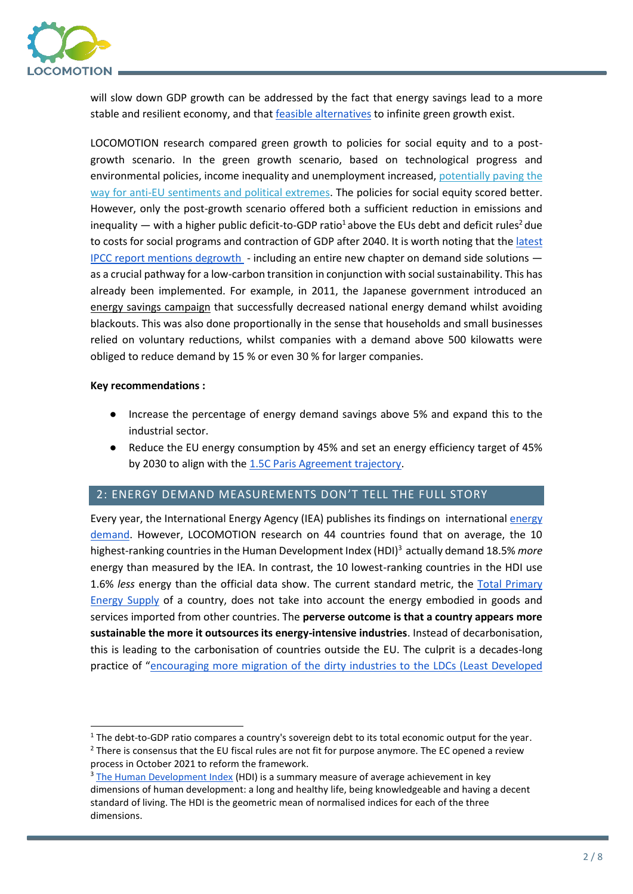

will slow down GDP growth can be addressed by the fact that energy savings lead to a more stable and resilient economy, and that [feasible alternatives](https://www.nature.com/articles/s41893-020-0484-y) to infinite green growth exist.

LOCOMOTION research compared green growth to policies for social equity and to a postgrowth scenario. In the green growth scenario, based on technological progress and environmental policies, income inequality and unemployment increased, [potentially paving the](https://academic.oup.com/ser/article/14/1/27/2451750)  [way for anti-EU sentiments and political extremes.](https://academic.oup.com/ser/article/14/1/27/2451750) The policies for social equity scored better. However, only the post-growth scenario offered both a sufficient reduction in emissions and inequality — with a higher public deficit-to-GDP ratio<sup>1</sup> above the EUs debt and deficit rules<sup>2</sup> due to costs for social programs and contraction of GDP after 2040. It is worth noting that the latest IPCC report [mentions degrowth](https://timotheeparrique.com/degrowth-in-the-ipcc-ar6-wgiii/) - including an entire new chapter on demand side solutions as a crucial pathway for a low-carbon transition in conjunction with social sustainability. This has already been implemented. For example, in 2011, the Japanese government introduced an [energy savings campaign](https://institutdelors.eu/wp-content/uploads/2022/05/PB_220513_Energy-Sufficiency-The-missing-lever-to-tackle-the-energy-crisis_Leuser_EN.pdf) that successfully decreased national energy demand whilst avoiding blackouts. This was also done proportionally in the sense that households and small businesses relied on voluntary reductions, whilst companies with a demand above 500 kilowatts were obliged to reduce demand by 15 % or even 30 % for larger companies.

#### **Key recommendations :**

- Increase the percentage of energy demand savings above 5% and expand this to the industrial sector.
- Reduce the EU energy consumption by 45% and set an energy efficiency target of 45% by 2030 to align with th[e 1.5C Paris Agreement trajectory.](https://eeb.org/library/building-a-paris-agreement-compatible-pac-energy-scenario/)

# 2: ENERGY DEMAND MEASUREMENTS DON'T TELL THE FULL STORY

Every year, the International Energy Agency (IEA) publishes its findings on internationa[l energy](https://www.iea.org/topics/world-energy-outlook)  [demand.](https://www.iea.org/topics/world-energy-outlook) However, LOCOMOTION research on 44 countries found that on average, the 10 highest-ranking countries in the Human Development Index (HDI)<sup>3</sup> actually demand 18.5% *more* energy than measured by the IEA. In contrast, the 10 lowest-ranking countries in the HDI use 1.6% *less* energy than the official data show. The current standard metric, the [Total Primary](https://www.iea.org/data-and-statistics/charts/total-primary-energy-supply-by-fuel-1971-and-2019)  [Energy Supply](https://www.iea.org/data-and-statistics/charts/total-primary-energy-supply-by-fuel-1971-and-2019) of a country, does not take into account the energy embodied in goods and services imported from other countries. The **perverse outcome is that a country appears more sustainable the more it outsources its energy-intensive industries**. Instead of decarbonisation, this is leading to the carbonisation of countries outside the EU. The culprit is a decades-long practice of "[encouraging more migration of the dirty industries to](http://www.envjustice.org/2013/02/lawrence-summers%E2%80%99-principle/) the LDCs (Least Developed

process in October 2021 to reform the framework.

<sup>&</sup>lt;sup>1</sup> The debt-to-GDP ratio compares a country's sovereign debt to its total economic output for the year.  $2$  There is consensus that the EU fiscal rules are not fit for purpose anymore. The EC opened a review

 $3$  [The Human Development Index](https://hdr.undp.org/en/content/human-development-index-hdi) (HDI) is a summary measure of average achievement in key dimensions of human development: a long and healthy life, being knowledgeable and having a decent standard of living. The HDI is the geometric mean of normalised indices for each of the three dimensions.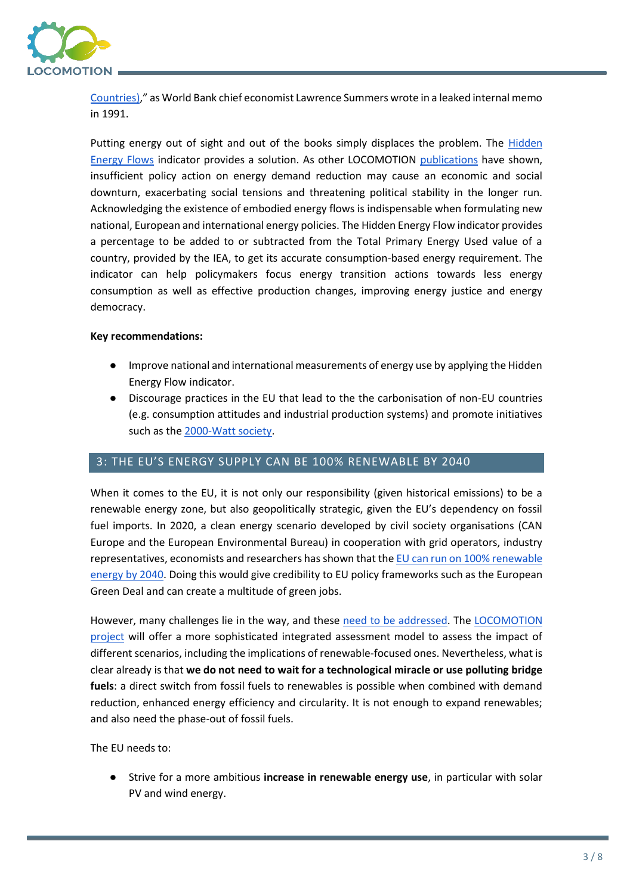

[Countries\)](http://www.envjustice.org/2013/02/lawrence-summers%E2%80%99-principle/)," as World Bank chief economist Lawrence Summers wrote in a leaked internal memo in 1991.

Putting energy out of sight and out of the books simply displaces the problem. The Hidden [Energy Flows](https://www.sciencedirect.com/science/article/abs/pii/S0959652620338725?via%3Dihub) indicator provides a solution. As other LOCOMOTION [publications](https://op.europa.eu/en/web/eu-law-and-publications/publication-detail/-/publication/fbac1fbe-41da-11ec-89db-01aa75ed71a1) have shown, insufficient policy action on energy demand reduction may cause an economic and social downturn, exacerbating social tensions and threatening political stability in the longer run. Acknowledging the existence of embodied energy flows is indispensable when formulating new national, European and international energy policies. The Hidden Energy Flow indicator provides a percentage to be added to or subtracted from the Total Primary Energy Used value of a country, provided by the IEA, to get its accurate consumption-based energy requirement. The indicator can help policymakers focus energy transition actions towards less energy consumption as well as effective production changes, improving energy justice and energy democracy.

#### **Key recommendations:**

- Improve national and international measurements of energy use by applying the Hidden Energy Flow indicator.
- Discourage practices in the EU that lead to the the carbonisation of non-EU countries (e.g. consumption attitudes and industrial production systems) and promote initiatives such as th[e 2000-Watt society.](https://www.2000watt.swiss/english.html)

### 3: THE EU'S ENERGY SUPPLY CAN BE 100% RENEWABLE BY 2040

When it comes to the EU, it is not only our responsibility (given historical emissions) to be a renewable energy zone, but also geopolitically strategic, given the EU's dependency on fossil fuel imports. In 2020, a clean energy scenario developed by civil society organisations (CAN Europe and the European Environmental Bureau) in cooperation with grid operators, industry representatives, economists and researchers has shown that th[e EU can run on 100% renewable](https://eeb.org/library/building-a-paris-agreement-compatible-pac-energy-scenario/)  [energy by 2040.](https://eeb.org/library/building-a-paris-agreement-compatible-pac-energy-scenario/) Doing this would give credibility to EU policy frameworks such as the European Green Deal and can create a multitude of green jobs.

However, many challenges lie in the way, and these [need to be addressed.](https://eeb.org/library/eeb-policy-brief-on-the-renewable-energy-directive-red-iii/) The [LOCOMOTION](https://www.locomotion-h2020.eu/)  [project](https://www.locomotion-h2020.eu/) will offer a more sophisticated integrated assessment model to assess the impact of different scenarios, including the implications of renewable-focused ones. Nevertheless, what is clear already is that **we do not need to wait for a technological miracle or use polluting bridge fuels**: a direct switch from fossil fuels to renewables is possible when combined with demand reduction, enhanced energy efficiency and circularity. It is not enough to expand renewables; and also need the phase-out of fossil fuels.

The EU needs to:

● Strive for a more ambitious **increase in renewable energy use**, in particular with solar PV and wind energy.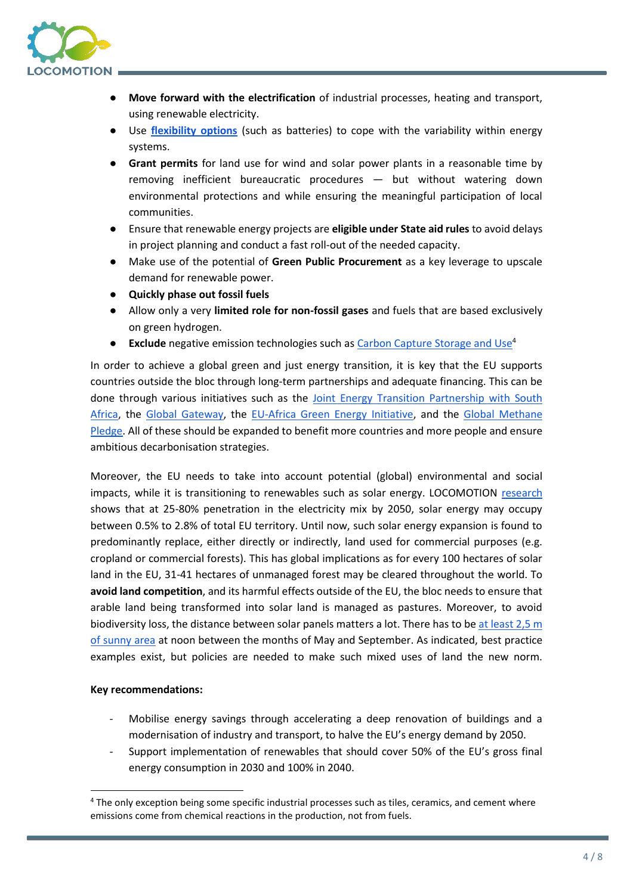

- **Move forward with the electrification** of industrial processes, heating and transport, using renewable electricity.
- Use **[flexibility options](https://www.locomotion-h2020.eu/energy-system-flexibility-for-renewable-energy-variability-in-iams/)** (such as batteries) to cope with the variability within energy systems.
- **Grant permits** for land use for wind and solar power plants in a reasonable time by removing inefficient bureaucratic procedures — but without watering down environmental protections and while ensuring the meaningful participation of local communities.
- Ensure that renewable energy projects are **eligible under State aid rules** to avoid delays in project planning and conduct a fast roll-out of the needed capacity.
- Make use of the potential of **Green Public Procurement** as a key leverage to upscale demand for renewable power.
- **Quickly phase out fossil fuels**
- Allow only a very **limited role for non-fossil gases** and fuels that are based exclusively on green hydrogen.
- **Exclude** negative emission technologies such as [Carbon Capture Storage and Use](https://www.locomotion-h2020.eu/resources/policy-briefs/)<sup>4</sup>

In order to achieve a global green and just energy transition, it is key that the EU supports countries outside the bloc through long-term partnerships and adequate financing. This can be done through various initiatives such as the [Joint Energy Transition Partnership with South](https://ec.europa.eu/commission/presscorner/detail/en/IP_21_5768)  [Africa,](https://ec.europa.eu/commission/presscorner/detail/en/IP_21_5768) the [Global Gateway,](https://ec.europa.eu/info/strategy/priorities-2019-2024/stronger-europe-world/global-gateway_en) the [EU-Africa Green Energy Initiative,](https://energy.ec.europa.eu/topics/international-cooperation/key-partner-countries-and-regions/sub-saharan-africa/africa-eu-energy-partnership_en) and the [Global Methane](https://ec.europa.eu/commission/presscorner/detail/en/statement_21_5766)  [Pledge.](https://ec.europa.eu/commission/presscorner/detail/en/statement_21_5766) All of these should be expanded to benefit more countries and more people and ensure ambitious decarbonisation strategies.

Moreover, the EU needs to take into account potential (global) environmental and social impacts, while it is transitioning to renewables such as solar energy. LOCOMOTION [research](https://www.locomotion-h2020.eu/the-potential-land-requirements-and-related-land-use-change-emissions-of-solar-energy/) shows that at 25-80% penetration in the electricity mix by 2050, solar energy may occupy between 0.5% to 2.8% of total EU territory. Until now, such solar energy expansion is found to predominantly replace, either directly or indirectly, land used for commercial purposes (e.g. cropland or commercial forests). This has global implications as for every 100 hectares of solar land in the EU, 31-41 hectares of unmanaged forest may be cleared throughout the world. To **avoid land competition**, and its harmful effects outside of the EU, the bloc needs to ensure that arable land being transformed into solar land is managed as pastures. Moreover, to avoid biodiversity loss, the distance between solar panels matters a lot. There has to be [at least 2,5 m](https://www.bne-online.de/fileadmin/bne/Dokumente/Englisch/Publications/201911_bne_study_biodiversity_profits_from_pv.pdf)  [of sunny area](https://www.bne-online.de/fileadmin/bne/Dokumente/Englisch/Publications/201911_bne_study_biodiversity_profits_from_pv.pdf) at noon between the months of May and September. As indicated, best practice examples exist, but policies are needed to make such mixed uses of land the new norm.

### **Key recommendations:**

- Mobilise energy savings through accelerating a deep renovation of buildings and a modernisation of industry and transport, to halve the EU's energy demand by 2050.
- Support implementation of renewables that should cover 50% of the EU's gross final energy consumption in 2030 and 100% in 2040.

<sup>&</sup>lt;sup>4</sup> The only exception being some specific industrial processes such as tiles, ceramics, and cement where emissions come from chemical reactions in the production, not from fuels.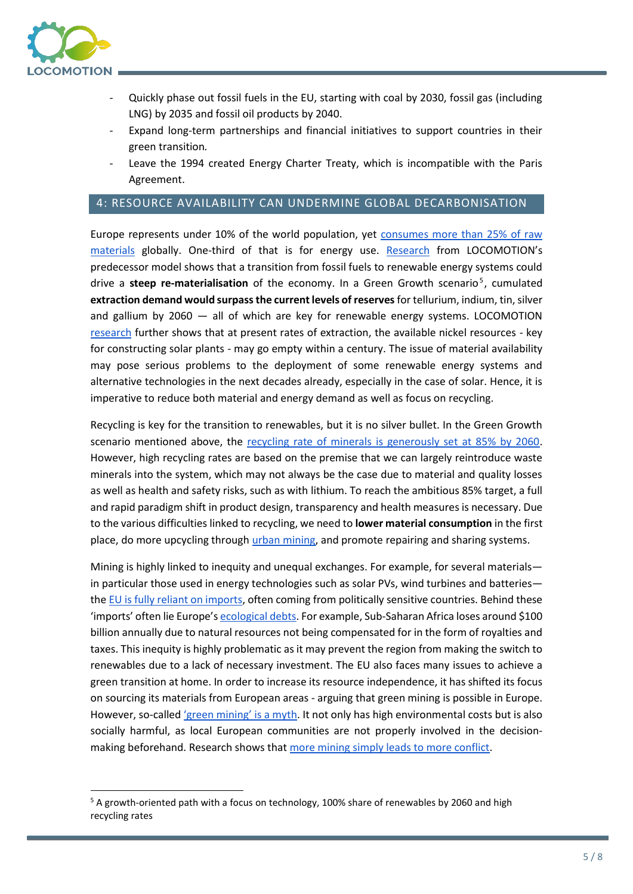

- Quickly phase out fossil fuels in the EU, starting with coal by 2030, fossil gas (including LNG) by 2035 and fossil oil products by 2040.
- Expand long-term partnerships and financial initiatives to support countries in their green transition*.*
- Leave the 1994 created Energy Charter Treaty, which is incompatible with the Paris Agreement.

# 4: RESOURCE AVAILABILITY CAN UNDERMINE GLOBAL DECARBONISATION

Europe represents under 10% of the world population, yet [consumes more than 25% of raw](https://eeb.org/library/green-mining-is-a-myth/)  [materials](https://eeb.org/library/green-mining-is-a-myth/) globally. One-third of that is for energy use. [Research](https://www.medeas.eu/publication/scientific-publication-dynamic-energy-return-energy-investment-eroi-and-material) from LOCOMOTION's predecessor model shows that a transition from fossil fuels to renewable energy systems could drive a steep re-materialisation of the economy. In a Green Growth scenario<sup>5</sup>, cumulated **extraction demand would surpass the current levels of reserves** for tellurium, indium, tin, silver and gallium by 2060 — all of which are key for renewable energy systems. LOCOMOTION [research](https://www.locomotion-h2020.eu/modelling-global-nickel-mining-supply-recycling-stocks-in-use-and-price-under-different-resources-and-demand-assumption-for-1850-2200/) further shows that at present rates of extraction, the available nickel resources - key for constructing solar plants - may go empty within a century. The issue of material availability may pose serious problems to the deployment of some renewable energy systems and alternative technologies in the next decades already, especially in the case of solar. Hence, it is imperative to reduce both material and energy demand as well as focus on recycling.

Recycling is key for the transition to renewables, but it is no silver bullet. In the Green Growth scenario mentioned above, the [recycling rate](https://www.sciencedirect.com/science/article/pii/S2211467X19300926) [of minerals is generously set at 85% by 2060.](https://www.sciencedirect.com/science/article/pii/S2211467X19300926) However, high recycling rates are based on the premise that we can largely reintroduce waste minerals into the system, which may not always be the case due to material and quality losses as well as health and safety risks, such as with lithium. To reach the ambitious 85% target, a full and rapid paradigm shift in product design, transparency and health measures is necessary. Due to the various difficulties linked to recycling, we need to **lower material consumption** in the first place, do more upcycling through [urban mining,](https://eeb.org/urbanmining/) and promote repairing and sharing systems.

Mining is highly linked to inequity and unequal exchanges. For example, for several materials in particular those used in energy technologies such as solar PVs, wind turbines and batteries the EU [is fully reliant on imports,](https://eeb.org/library/green-mining-is-a-myth/) often coming from politically sensitive countries. Behind these 'imports' often lie Europe's [ecological debts.](https://eeb.org/library/green-mining-is-a-myth/) For example, Sub-Saharan Africa loses around \$100 billion annually due to natural resources not being compensated for in the form of royalties and taxes. This inequity is highly problematic as it may prevent the region from making the switch to renewables due to a lack of necessary investment. The EU also faces many issues to achieve a green transition at home. In order to increase its resource independence, it has shifted its focus on sourcing its materials from European areas - arguing that green mining is possible in Europe. However, so-called ['green mining' is a myth](https://eeb.org/library/green-mining-is-a-myth/). It not only has high environmental costs but is also socially harmful, as local European communities are not properly involved in the decisionmaking beforehand. Research shows tha[t more mining simply leads to more conflict.](https://meta.eeb.org/2018/01/17/more-mining-leads-to-more-fighting/)

<sup>&</sup>lt;sup>5</sup> A growth-oriented path with a focus on technology, 100% share of renewables by 2060 and high recycling rates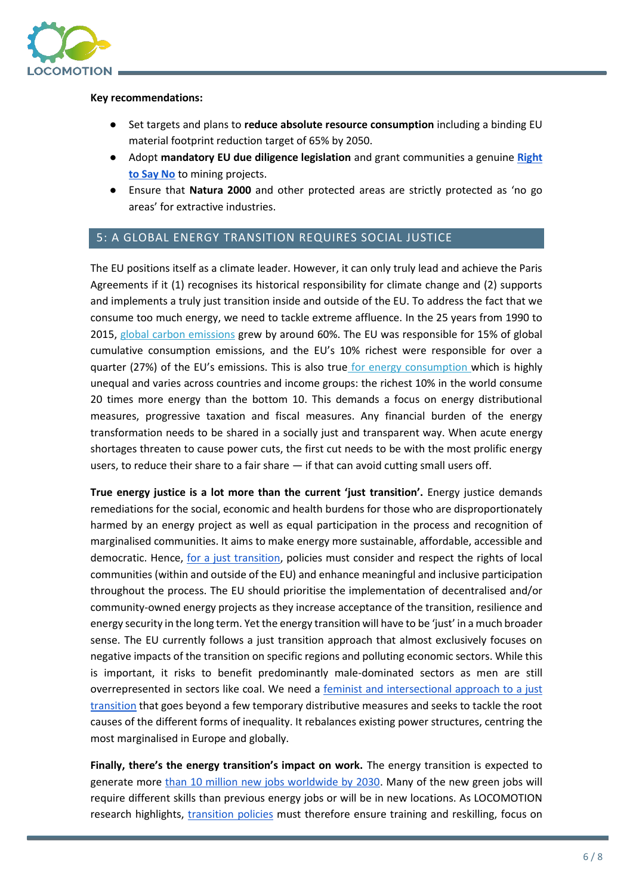

#### **Key recommendations:**

- Set targets and plans to **reduce absolute resource consumption** including a binding EU material footprint reduction target of 65% by 2050.
- Adopt **mandatory EU due diligence legislation** and grant communities a genuine **[Right](https://womin.africa/understanding-the-right-to-say-no/)  [to Say No](https://womin.africa/understanding-the-right-to-say-no/)** to mining projects.
- Ensure that **Natura 2000** and other protected areas are strictly protected as 'no go areas' for extractive industries.

## 5: A GLOBAL ENERGY TRANSITION REQUIRES SOCIAL JUSTICE

The EU positions itself as a climate leader. However, it can only truly lead and achieve the Paris Agreements if it (1) recognises its historical responsibility for climate change and (2) supports and implements a truly just transition inside and outside of the EU. To address the fact that we consume too much energy, we need to tackle extreme affluence. In the 25 years from 1990 to 2015, [global carbon emissions](https://www.oxfam.org/en/research/confronting-carbon-inequality) grew by around 60%. The EU was responsible for 15% of global cumulative consumption emissions, and the EU's 10% richest were responsible for over a quarter (27%) of the EU's emissions. This is also true [for energy consumption](https://www.nature.com/articles/s41560-020-0579-8) which is highly unequal and varies across countries and income groups: the richest 10% in the world consume 20 times more energy than the bottom 10. This demands a focus on energy distributional measures, progressive taxation and fiscal measures. Any financial burden of the energy transformation needs to be shared in a socially just and transparent way. When acute energy shortages threaten to cause power cuts, the first cut needs to be with the most prolific energy users, to reduce their share to a fair share — if that can avoid cutting small users off.

**True energy justice is a lot more than the current 'just transition'.** Energy justice demands remediations for the social, economic and health burdens for those who are disproportionately harmed by an energy project as well as equal participation in the process and recognition of marginalised communities. It aims to make energy more sustainable, affordable, accessible and democratic. Hence, [for a just transition,](https://www.sciencedirect.com/science/article/pii/S2214629620302395?via%3Dihub) policies must consider and respect the rights of local communities (within and outside of the EU) and enhance meaningful and inclusive participation throughout the process. The EU should prioritise the implementation of decentralised and/or community-owned energy projects as they increase acceptance of the transition, resilience and energy security in the long term. Yet the energy transition will have to be 'just' in a much broader sense. The EU currently follows a just transition approach that almost exclusively focuses on negative impacts of the transition on specific regions and polluting economic sectors. While this is important, it risks to benefit predominantly male-dominated sectors as men are still overrepresented in sectors like coal. We need a feminist and intersectional approach to a just [transition](https://eeb.org/wp-content/uploads/2022/03/18990.pdf) that goes beyond a few temporary distributive measures and seeks to tackle the root causes of the different forms of inequality. It rebalances existing power structures, centring the most marginalised in Europe and globally.

**Finally, there's the energy transition's impact on work.** The energy transition is expected to generate more [than 10 million new jobs worldwide by 2030.](https://www.weforum.org/agenda/2022/03/the-clean-energy-employment-shift-by-2030/) Many of the new green jobs will require different skills than previous energy jobs or will be in new locations. As LOCOMOTION research highlights, [transition policies](https://www.google.com/url?q=https://www.sciencedirect.com/science/article/pii/S2214629620302395?via%253Dihub&sa=D&source=docs&ust=1651227160522333&usg=AOvVaw10vZoEeOLef0PmIFcTYelo) must therefore ensure training and reskilling, focus on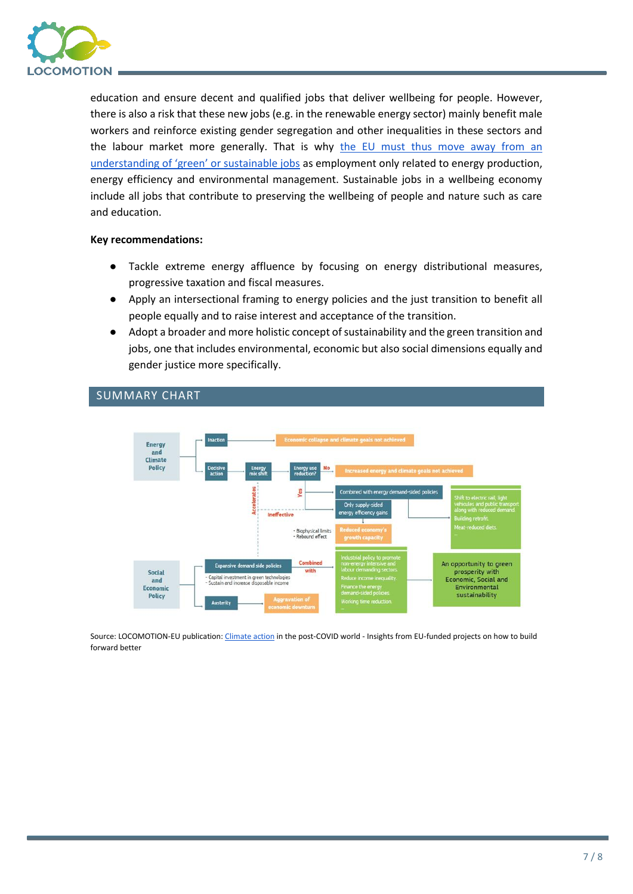

education and ensure decent and qualified jobs that deliver wellbeing for people. However, there is also a risk that these new jobs (e.g. in the renewable energy sector) mainly benefit male workers and reinforce existing gender segregation and other inequalities in these sectors and the labour market more generally. That is why [the EU must thus move away from an](https://eeb.org/library/why-the-european-green-deal-needs-ecofeminism/)  [understanding of 'green' or sustainable jobs](https://eeb.org/library/why-the-european-green-deal-needs-ecofeminism/) as employment only related to energy production, energy efficiency and environmental management. Sustainable jobs in a wellbeing economy include all jobs that contribute to preserving the wellbeing of people and nature such as care and education.

#### **Key recommendations:**

- Tackle extreme energy affluence by focusing on energy distributional measures, progressive taxation and fiscal measures.
- Apply an intersectional framing to energy policies and the just transition to benefit all people equally and to raise interest and acceptance of the transition.
- Adopt a broader and more holistic concept of sustainability and the green transition and jobs, one that includes environmental, economic but also social dimensions equally and gender justice more specifically.



## SUMMARY CHART

Source: LOCOMOTION-EU publication[: Climate action](https://op.europa.eu/en/web/eu-law-and-publications/publication-detail/-/publication/fbac1fbe-41da-11ec-89db-01aa75ed71a1) in the post-COVID world - Insights from EU-funded projects on how to build forward better